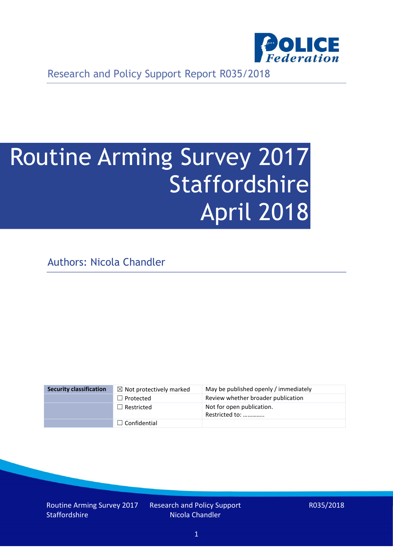

Research and Policy Support Report R035/2018

# Routine Arming Survey 2017 Staffordshire April 2018

Authors: Nicola Chandler

| <b>Security classification</b> | $\boxtimes$ Not protectively marked | May be published openly / immediately       |
|--------------------------------|-------------------------------------|---------------------------------------------|
|                                | $\Box$ Protected                    | Review whether broader publication          |
|                                | $\Box$ Restricted                   | Not for open publication.<br>Restricted to: |
|                                | $\Box$ Confidential                 |                                             |

Routine Arming Survey 2017 **Staffordshire** 

Research and Policy Support Nicola Chandler

R035/2018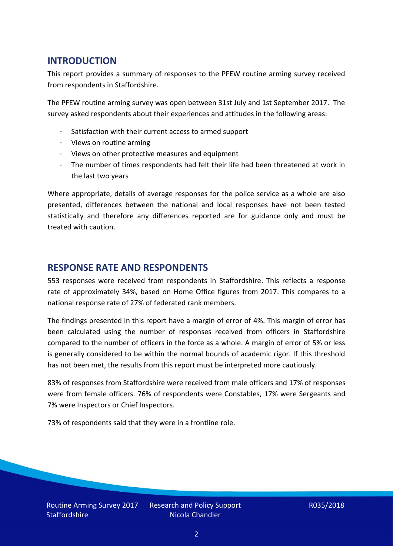## **INTRODUCTION**

This report provides a summary of responses to the PFEW routine arming survey received from respondents in Staffordshire.

The PFEW routine arming survey was open between 31st July and 1st September 2017. The survey asked respondents about their experiences and attitudes in the following areas:

- Satisfaction with their current access to armed support
- Views on routine arming
- Views on other protective measures and equipment
- The number of times respondents had felt their life had been threatened at work in the last two years

Where appropriate, details of average responses for the police service as a whole are also presented, differences between the national and local responses have not been tested statistically and therefore any differences reported are for guidance only and must be treated with caution.

### **RESPONSE RATE AND RESPONDENTS**

553 responses were received from respondents in Staffordshire. This reflects a response rate of approximately 34%, based on Home Office figures from 2017. This compares to a national response rate of 27% of federated rank members.

The findings presented in this report have a margin of error of 4%. This margin of error has been calculated using the number of responses received from officers in Staffordshire compared to the number of officers in the force as a whole. A margin of error of 5% or less is generally considered to be within the normal bounds of academic rigor. If this threshold has not been met, the results from this report must be interpreted more cautiously.

83% of responses from Staffordshire were received from male officers and 17% of responses were from female officers. 76% of respondents were Constables, 17% were Sergeants and 7% were Inspectors or Chief Inspectors.

73% of respondents said that they were in a frontline role.

Routine Arming Survey 2017 **Staffordshire**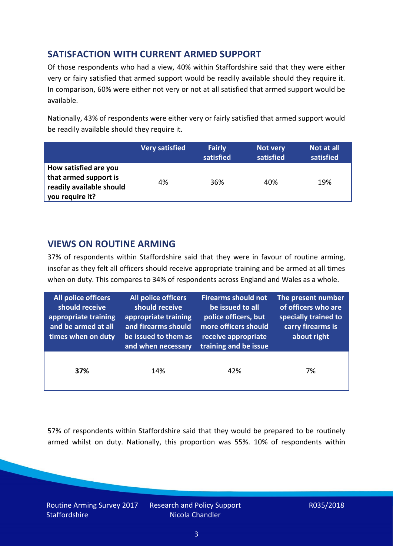# **SATISFACTION WITH CURRENT ARMED SUPPORT**

Of those respondents who had a view, 40% within Staffordshire said that they were either very or fairy satisfied that armed support would be readily available should they require it. In comparison, 60% were either not very or not at all satisfied that armed support would be available.

Nationally, 43% of respondents were either very or fairly satisfied that armed support would be readily available should they require it.

|                                                                                               | <b>Very satisfied</b> | <b>Fairly</b><br>satisfied | Not very<br>satisfied | Not at all<br>satisfied |
|-----------------------------------------------------------------------------------------------|-----------------------|----------------------------|-----------------------|-------------------------|
| How satisfied are you<br>that armed support is<br>readily available should<br>you require it? | 4%                    | 36%                        | 40%                   | 19%                     |

### **VIEWS ON ROUTINE ARMING**

37% of respondents within Staffordshire said that they were in favour of routine arming, insofar as they felt all officers should receive appropriate training and be armed at all times when on duty. This compares to 34% of respondents across England and Wales as a whole.

| All police officers<br>should receive<br>appropriate training<br>and be armed at all<br>times when on duty | All police officers<br>should receive<br>appropriate training<br>and firearms should<br>be issued to them as<br>and when necessary | <b>Firearms should not</b><br>be issued to all<br>police officers, but<br>more officers should<br>receive appropriate<br>training and be issue | The present number<br>of officers who are<br>specially trained to<br>carry firearms is<br>about right |  |
|------------------------------------------------------------------------------------------------------------|------------------------------------------------------------------------------------------------------------------------------------|------------------------------------------------------------------------------------------------------------------------------------------------|-------------------------------------------------------------------------------------------------------|--|
| 37%                                                                                                        | 14%                                                                                                                                | 42%                                                                                                                                            | 7%                                                                                                    |  |

57% of respondents within Staffordshire said that they would be prepared to be routinely armed whilst on duty. Nationally, this proportion was 55%. 10% of respondents within

Routine Arming Survey 2017 **Staffordshire**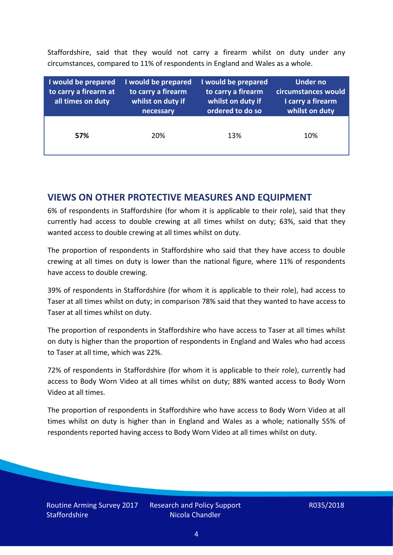Staffordshire, said that they would not carry a firearm whilst on duty under any circumstances, compared to 11% of respondents in England and Wales as a whole.

| I would be prepared<br>to carry a firearm at<br>all times on duty | I would be prepared<br>to carry a firearm<br>whilst on duty if<br>necessary | I would be prepared<br>to carry a firearm<br>whilst on duty if<br>ordered to do so | Under no<br>circumstances would<br>I carry a firearm<br>whilst on duty |
|-------------------------------------------------------------------|-----------------------------------------------------------------------------|------------------------------------------------------------------------------------|------------------------------------------------------------------------|
| 57%                                                               | 20%                                                                         | 13%                                                                                | 10%                                                                    |

### **VIEWS ON OTHER PROTECTIVE MEASURES AND EQUIPMENT**

6% of respondents in Staffordshire (for whom it is applicable to their role), said that they currently had access to double crewing at all times whilst on duty; 63%, said that they wanted access to double crewing at all times whilst on duty.

The proportion of respondents in Staffordshire who said that they have access to double crewing at all times on duty is lower than the national figure, where 11% of respondents have access to double crewing.

39% of respondents in Staffordshire (for whom it is applicable to their role), had access to Taser at all times whilst on duty; in comparison 78% said that they wanted to have access to Taser at all times whilst on duty.

The proportion of respondents in Staffordshire who have access to Taser at all times whilst on duty is higher than the proportion of respondents in England and Wales who had access to Taser at all time, which was 22%.

72% of respondents in Staffordshire (for whom it is applicable to their role), currently had access to Body Worn Video at all times whilst on duty; 88% wanted access to Body Worn Video at all times.

The proportion of respondents in Staffordshire who have access to Body Worn Video at all times whilst on duty is higher than in England and Wales as a whole; nationally 55% of respondents reported having access to Body Worn Video at all times whilst on duty.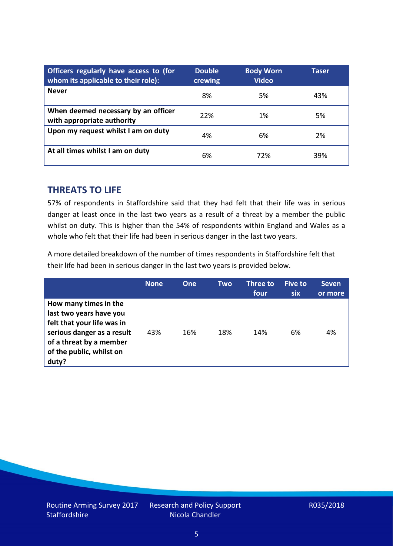| Officers regularly have access to (for<br>whom its applicable to their role): | <b>Double</b><br>crewing | <b>Body Worn</b><br><b>Video</b> | Taser |
|-------------------------------------------------------------------------------|--------------------------|----------------------------------|-------|
| <b>Never</b>                                                                  | 8%                       | 5%                               | 43%   |
| When deemed necessary by an officer<br>with appropriate authority             | 22%                      | 1%                               | 5%    |
| Upon my request whilst I am on duty                                           | 4%                       | 6%                               | 2%    |
| At all times whilst I am on duty                                              | 6%                       | 72%                              | 39%   |

#### **THREATS TO LIFE**

57% of respondents in Staffordshire said that they had felt that their life was in serious danger at least once in the last two years as a result of a threat by a member the public whilst on duty. This is higher than the 54% of respondents within England and Wales as a whole who felt that their life had been in serious danger in the last two years.

A more detailed breakdown of the number of times respondents in Staffordshire felt that their life had been in serious danger in the last two years is provided below.

|                                                                                                                                                                              | <b>None</b> | One | Two | Three to<br>four | Five to<br><b>six</b> | <b>Seven</b><br>or more |
|------------------------------------------------------------------------------------------------------------------------------------------------------------------------------|-------------|-----|-----|------------------|-----------------------|-------------------------|
| How many times in the<br>last two years have you<br>felt that your life was in<br>serious danger as a result<br>of a threat by a member<br>of the public, whilst on<br>duty? | 43%         | 16% | 18% | 14%              | 6%                    | 4%                      |